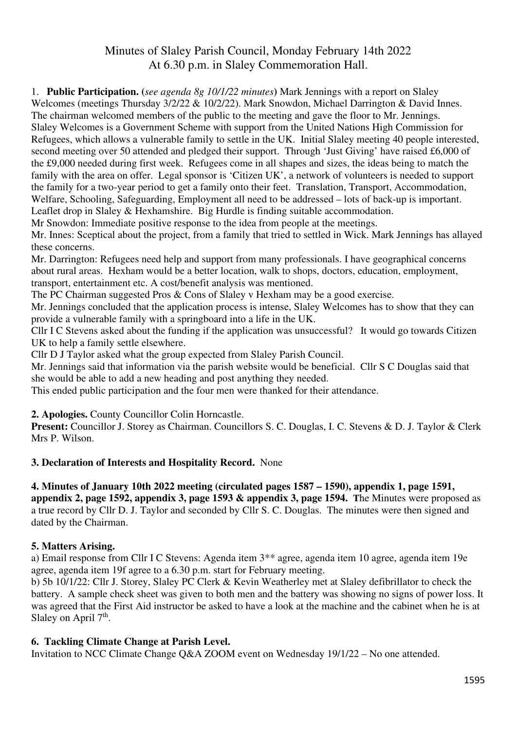# Minutes of Slaley Parish Council, Monday February 14th 2022 At 6.30 p.m. in Slaley Commemoration Hall.

1. **Public Participation. (***see agenda 8g 10/1/22 minutes***)** Mark Jennings with a report on Slaley Welcomes (meetings Thursday  $3/2/22$  & 10/2/22). Mark Snowdon, Michael Darrington & David Innes. The chairman welcomed members of the public to the meeting and gave the floor to Mr. Jennings. Slaley Welcomes is a Government Scheme with support from the United Nations High Commission for Refugees, which allows a vulnerable family to settle in the UK. Initial Slaley meeting 40 people interested, second meeting over 50 attended and pledged their support. Through 'Just Giving' have raised £6,000 of the £9,000 needed during first week. Refugees come in all shapes and sizes, the ideas being to match the family with the area on offer. Legal sponsor is 'Citizen UK', a network of volunteers is needed to support the family for a two-year period to get a family onto their feet. Translation, Transport, Accommodation, Welfare, Schooling, Safeguarding, Employment all need to be addressed – lots of back-up is important. Leaflet drop in Slaley & Hexhamshire. Big Hurdle is finding suitable accommodation.

Mr Snowdon: Immediate positive response to the idea from people at the meetings.

Mr. Innes: Sceptical about the project, from a family that tried to settled in Wick. Mark Jennings has allayed these concerns.

Mr. Darrington: Refugees need help and support from many professionals. I have geographical concerns about rural areas. Hexham would be a better location, walk to shops, doctors, education, employment, transport, entertainment etc. A cost/benefit analysis was mentioned.

The PC Chairman suggested Pros & Cons of Slaley v Hexham may be a good exercise.

Mr. Jennings concluded that the application process is intense, Slaley Welcomes has to show that they can provide a vulnerable family with a springboard into a life in the UK.

Cllr I C Stevens asked about the funding if the application was unsuccessful? It would go towards Citizen UK to help a family settle elsewhere.

Cllr D J Taylor asked what the group expected from Slaley Parish Council.

Mr. Jennings said that information via the parish website would be beneficial. Cllr S C Douglas said that she would be able to add a new heading and post anything they needed.

This ended public participation and the four men were thanked for their attendance.

**2. Apologies.** County Councillor Colin Horncastle.

**Present:** Councillor J. Storey as Chairman. Councillors S. C. Douglas, I. C. Stevens & D. J. Taylor & Clerk Mrs P. Wilson.

#### **3. Declaration of Interests and Hospitality Record.** None

#### **4. Minutes of January 10th 2022 meeting (circulated pages 1587 – 1590), appendix 1, page 1591, appendix 2, page 1592, appendix 3, page 1593 & appendix 3, page 1594. T**he Minutes were proposed as a true record by Cllr D. J. Taylor and seconded by Cllr S. C. Douglas. The minutes were then signed and dated by the Chairman.

#### **5. Matters Arising.**

a) Email response from Cllr I C Stevens: Agenda item 3\*\* agree, agenda item 10 agree, agenda item 19e agree, agenda item 19f agree to a 6.30 p.m. start for February meeting.

b) 5b 10/1/22: Cllr J. Storey, Slaley PC Clerk & Kevin Weatherley met at Slaley defibrillator to check the battery. A sample check sheet was given to both men and the battery was showing no signs of power loss. It was agreed that the First Aid instructor be asked to have a look at the machine and the cabinet when he is at Slaley on April  $7<sup>th</sup>$ .

#### **6. Tackling Climate Change at Parish Level.**

Invitation to NCC Climate Change Q&A ZOOM event on Wednesday 19/1/22 – No one attended.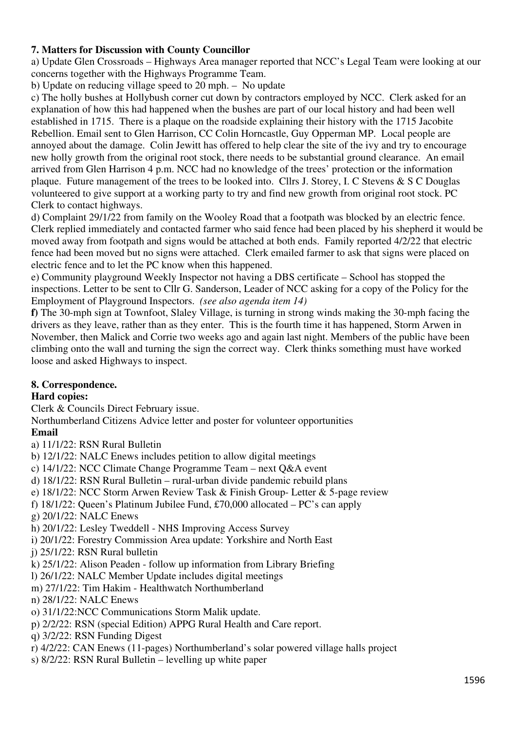# **7. Matters for Discussion with County Councillor**

a) Update Glen Crossroads – Highways Area manager reported that NCC's Legal Team were looking at our concerns together with the Highways Programme Team.

b) Update on reducing village speed to 20 mph. – No update

c) The holly bushes at Hollybush corner cut down by contractors employed by NCC. Clerk asked for an explanation of how this had happened when the bushes are part of our local history and had been well established in 1715. There is a plaque on the roadside explaining their history with the 1715 Jacobite Rebellion. Email sent to Glen Harrison, CC Colin Horncastle, Guy Opperman MP. Local people are annoyed about the damage. Colin Jewitt has offered to help clear the site of the ivy and try to encourage new holly growth from the original root stock, there needs to be substantial ground clearance. An email arrived from Glen Harrison 4 p.m. NCC had no knowledge of the trees' protection or the information plaque. Future management of the trees to be looked into. Cllrs J. Storey, I. C Stevens & S C Douglas volunteered to give support at a working party to try and find new growth from original root stock. PC Clerk to contact highways.

d) Complaint 29/1/22 from family on the Wooley Road that a footpath was blocked by an electric fence. Clerk replied immediately and contacted farmer who said fence had been placed by his shepherd it would be moved away from footpath and signs would be attached at both ends. Family reported 4/2/22 that electric fence had been moved but no signs were attached. Clerk emailed farmer to ask that signs were placed on electric fence and to let the PC know when this happened.

e) Community playground Weekly Inspector not having a DBS certificate – School has stopped the inspections. Letter to be sent to Cllr G. Sanderson, Leader of NCC asking for a copy of the Policy for the Employment of Playground Inspectors. *(see also agenda item 14)* 

**f)** The 30-mph sign at Townfoot, Slaley Village, is turning in strong winds making the 30-mph facing the drivers as they leave, rather than as they enter. This is the fourth time it has happened, Storm Arwen in November, then Malick and Corrie two weeks ago and again last night. Members of the public have been climbing onto the wall and turning the sign the correct way. Clerk thinks something must have worked loose and asked Highways to inspect.

## **8. Correspondence.**

## **Hard copies:**

Clerk & Councils Direct February issue.

Northumberland Citizens Advice letter and poster for volunteer opportunities

## **Email**

a) 11/1/22: RSN Rural Bulletin

- b) 12/1/22: NALC Enews includes petition to allow digital meetings
- c) 14/1/22: NCC Climate Change Programme Team next Q&A event
- d) 18/1/22: RSN Rural Bulletin rural-urban divide pandemic rebuild plans
- e) 18/1/22: NCC Storm Arwen Review Task & Finish Group- Letter & 5-page review
- f) 18/1/22: Queen's Platinum Jubilee Fund, £70,000 allocated PC's can apply
- g) 20/1/22: NALC Enews
- h) 20/1/22: Lesley Tweddell NHS Improving Access Survey
- i) 20/1/22: Forestry Commission Area update: Yorkshire and North East
- j) 25/1/22: RSN Rural bulletin
- k) 25/1/22: Alison Peaden follow up information from Library Briefing
- l) 26/1/22: NALC Member Update includes digital meetings
- m) 27/1/22: Tim Hakim Healthwatch Northumberland
- n) 28/1/22: NALC Enews
- o) 31/1/22:NCC Communications Storm Malik update.
- p) 2/2/22: RSN (special Edition) APPG Rural Health and Care report.
- q) 3/2/22: RSN Funding Digest
- r) 4/2/22: CAN Enews (11-pages) Northumberland's solar powered village halls project
- s) 8/2/22: RSN Rural Bulletin levelling up white paper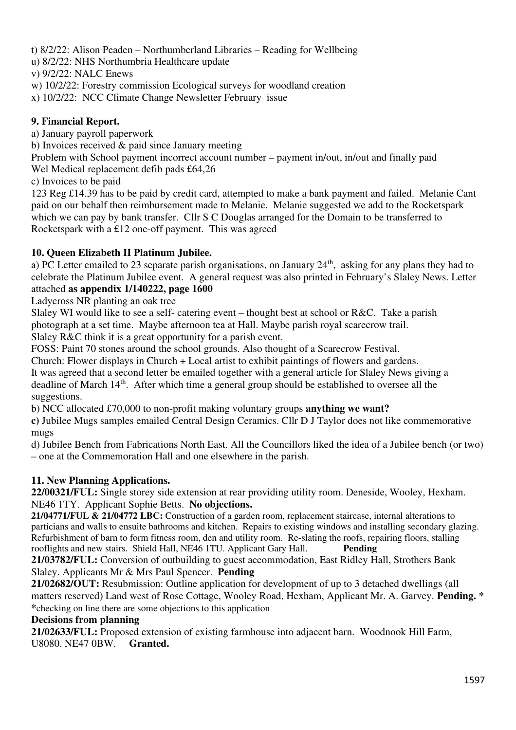t) 8/2/22: Alison Peaden – Northumberland Libraries – Reading for Wellbeing

u) 8/2/22: NHS Northumbria Healthcare update

v) 9/2/22: NALC Enews

w) 10/2/22: Forestry commission Ecological surveys for woodland creation

x) 10/2/22: NCC Climate Change Newsletter February issue

# **9. Financial Report.**

a) January payroll paperwork

b) Invoices received & paid since January meeting

Problem with School payment incorrect account number – payment in/out, in/out and finally paid Wel Medical replacement defib pads £64,26

c) Invoices to be paid

123 Reg £14.39 has to be paid by credit card, attempted to make a bank payment and failed. Melanie Cant paid on our behalf then reimbursement made to Melanie. Melanie suggested we add to the Rocketspark which we can pay by bank transfer. Cllr S C Douglas arranged for the Domain to be transferred to Rocketspark with a £12 one-off payment. This was agreed

# **10. Queen Elizabeth II Platinum Jubilee.**

a) PC Letter emailed to 23 separate parish organisations, on January 24th, asking for any plans they had to celebrate the Platinum Jubilee event. A general request was also printed in February's Slaley News. Letter attached **as appendix 1/140222, page 1600**

Ladycross NR planting an oak tree

Slaley WI would like to see a self- catering event – thought best at school or R&C. Take a parish photograph at a set time. Maybe afternoon tea at Hall. Maybe parish royal scarecrow trail. Slaley R&C think it is a great opportunity for a parish event.

FOSS: Paint 70 stones around the school grounds. Also thought of a Scarecrow Festival.

Church: Flower displays in Church + Local artist to exhibit paintings of flowers and gardens.

It was agreed that a second letter be emailed together with a general article for Slaley News giving a deadline of March 14th. After which time a general group should be established to oversee all the suggestions.

b) NCC allocated £70,000 to non-profit making voluntary groups **anything we want?** 

**c)** Jubilee Mugs samples emailed Central Design Ceramics. Cllr D J Taylor does not like commemorative mugs

d) Jubilee Bench from Fabrications North East. All the Councillors liked the idea of a Jubilee bench (or two) – one at the Commemoration Hall and one elsewhere in the parish.

# **11. New Planning Applications.**

**22/00321/FUL:** Single storey side extension at rear providing utility room. Deneside, Wooley, Hexham. NE46 1TY. Applicant Sophie Betts. **No objections.**

**21/04771/FUL & 21/04772 LBC:** Construction of a garden room, replacement staircase, internal alterations to particians and walls to ensuite bathrooms and kitchen. Repairs to existing windows and installing secondary glazing. Refurbishment of barn to form fitness room, den and utility room. Re-slating the roofs, repairing floors, stalling rooflights and new stairs. Shield Hall, NE46 1TU. Applicant Gary Hall. **Pending** 

**21/03782/FUL:** Conversion of outbuilding to guest accommodation, East Ridley Hall, Strothers Bank Slaley. Applicants Mr & Mrs Paul Spencer. **Pending** 

**21/02682/OUT:** Resubmission: Outline application for development of up to 3 detached dwellings (all matters reserved) Land west of Rose Cottage, Wooley Road, Hexham, Applicant Mr. A. Garvey. **Pending. \* \***checking on line there are some objections to this application

## **Decisions from planning**

**21/02633/FUL:** Proposed extension of existing farmhouse into adjacent barn. Woodnook Hill Farm, U8080. NE47 0BW. **Granted.**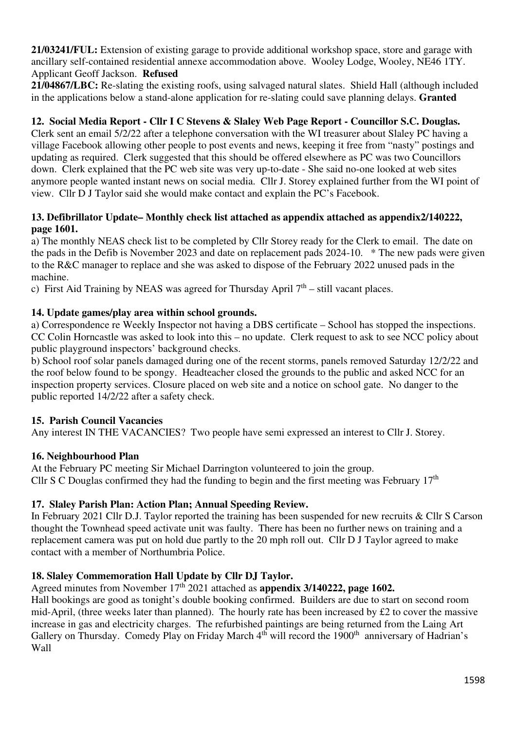**21/03241/FUL:** Extension of existing garage to provide additional workshop space, store and garage with ancillary self-contained residential annexe accommodation above. Wooley Lodge, Wooley, NE46 1TY. Applicant Geoff Jackson. **Refused** 

**21/04867/LBC:** Re-slating the existing roofs, using salvaged natural slates. Shield Hall (although included in the applications below a stand-alone application for re-slating could save planning delays. **Granted** 

# **12. Social Media Report - Cllr I C Stevens & Slaley Web Page Report - Councillor S.C. Douglas.**

Clerk sent an email 5/2/22 after a telephone conversation with the WI treasurer about Slaley PC having a village Facebook allowing other people to post events and news, keeping it free from "nasty" postings and updating as required. Clerk suggested that this should be offered elsewhere as PC was two Councillors down. Clerk explained that the PC web site was very up-to-date - She said no-one looked at web sites anymore people wanted instant news on social media. Cllr J. Storey explained further from the WI point of view. Cllr D J Taylor said she would make contact and explain the PC's Facebook.

## **13. Defibrillator Update– Monthly check list attached as appendix attached as appendix2/140222, page 1601.**

a) The monthly NEAS check list to be completed by Cllr Storey ready for the Clerk to email. The date on the pads in the Defib is November 2023 and date on replacement pads 2024-10. \* The new pads were given to the R&C manager to replace and she was asked to dispose of the February 2022 unused pads in the machine.

c) First Aid Training by NEAS was agreed for Thursday April  $7<sup>th</sup>$  – still vacant places.

#### **14. Update games/play area within school grounds.**

a) Correspondence re Weekly Inspector not having a DBS certificate – School has stopped the inspections. CC Colin Horncastle was asked to look into this – no update. Clerk request to ask to see NCC policy about public playground inspectors' background checks.

b) School roof solar panels damaged during one of the recent storms, panels removed Saturday 12/2/22 and the roof below found to be spongy. Headteacher closed the grounds to the public and asked NCC for an inspection property services. Closure placed on web site and a notice on school gate. No danger to the public reported 14/2/22 after a safety check.

#### **15. Parish Council Vacancies**

Any interest IN THE VACANCIES? Two people have semi expressed an interest to Cllr J. Storey.

#### **16. Neighbourhood Plan**

At the February PC meeting Sir Michael Darrington volunteered to join the group. Cllr S C Douglas confirmed they had the funding to begin and the first meeting was February  $17<sup>th</sup>$ 

## **17. Slaley Parish Plan: Action Plan; Annual Speeding Review.**

In February 2021 Cllr D.J. Taylor reported the training has been suspended for new recruits & Cllr S Carson thought the Townhead speed activate unit was faulty. There has been no further news on training and a replacement camera was put on hold due partly to the 20 mph roll out. Cllr D J Taylor agreed to make contact with a member of Northumbria Police.

## **18. Slaley Commemoration Hall Update by Cllr DJ Taylor.**

Agreed minutes from November 17th 2021 attached as **appendix 3/140222, page 1602.** 

Hall bookings are good as tonight's double booking confirmed. Builders are due to start on second room mid-April, (three weeks later than planned). The hourly rate has been increased by £2 to cover the massive increase in gas and electricity charges. The refurbished paintings are being returned from the Laing Art Gallery on Thursday. Comedy Play on Friday March 4<sup>th</sup> will record the 1900<sup>th</sup> anniversary of Hadrian's Wall